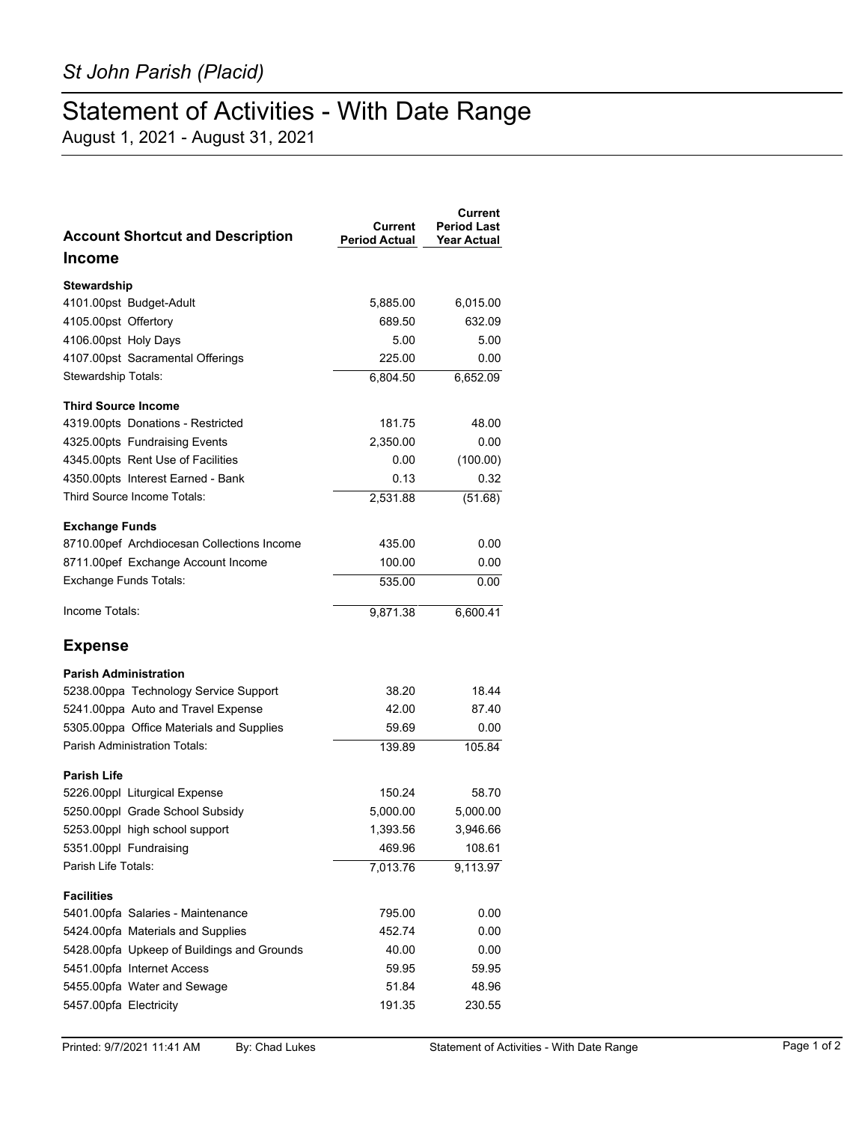## Statement of Activities - With Date Range

August 1, 2021 - August 31, 2021

| <b>Account Shortcut and Description</b>    | Current<br><b>Period Actual</b> | Current<br><b>Period Last</b><br><b>Year Actual</b> |
|--------------------------------------------|---------------------------------|-----------------------------------------------------|
| <b>Income</b>                              |                                 |                                                     |
| <b>Stewardship</b>                         |                                 |                                                     |
| 4101.00pst Budget-Adult                    | 5,885.00                        | 6,015.00                                            |
| 4105.00pst Offertory                       | 689.50                          | 632.09                                              |
| 4106.00pst Holy Days                       | 5.00                            | 5.00                                                |
| 4107.00pst Sacramental Offerings           | 225.00                          | 0.00                                                |
| Stewardship Totals:                        | 6,804.50                        | 6,652.09                                            |
| <b>Third Source Income</b>                 |                                 |                                                     |
| 4319.00pts Donations - Restricted          | 181.75                          | 48.00                                               |
| 4325.00pts Fundraising Events              | 2,350.00                        | 0.00                                                |
| 4345.00pts Rent Use of Facilities          | 0.00                            | (100.00)                                            |
| 4350.00pts Interest Earned - Bank          | 0.13                            | 0.32                                                |
| Third Source Income Totals:                | 2,531.88                        | (51.68)                                             |
| <b>Exchange Funds</b>                      |                                 |                                                     |
| 8710.00pef Archdiocesan Collections Income | 435.00                          | 0.00                                                |
| 8711.00pef Exchange Account Income         | 100.00                          | 0.00                                                |
| <b>Exchange Funds Totals:</b>              | 535.00                          | $0.00\,$                                            |
| Income Totals:                             | 9.871.38                        | 6,600.41                                            |
| <b>Expense</b>                             |                                 |                                                     |
| <b>Parish Administration</b>               |                                 |                                                     |
| 5238.00ppa Technology Service Support      | 38.20                           | 18.44                                               |
| 5241.00ppa Auto and Travel Expense         | 42.00                           | 87.40                                               |
| 5305.00ppa Office Materials and Supplies   | 59.69                           | 0.00                                                |
| Parish Administration Totals:              | 139.89                          | 105.84                                              |
| <b>Parish Life</b>                         |                                 |                                                     |
| 5226.00ppl Liturgical Expense              | 150.24                          | 58.70                                               |
| 5250.00ppl Grade School Subsidy            | 5,000.00                        | 5,000.00                                            |
| 5253.00ppl high school support             | 1,393.56                        | 3,946.66                                            |
| 5351.00ppl Fundraising                     | 469.96                          | 108.61                                              |
| Parish Life Totals:                        | 7,013.76                        | 9,113.97                                            |
| <b>Facilities</b>                          |                                 |                                                     |
| 5401.00pfa Salaries - Maintenance          | 795.00                          | 0.00                                                |
| 5424.00pfa Materials and Supplies          | 452.74                          | 0.00                                                |
| 5428.00pfa Upkeep of Buildings and Grounds | 40.00                           | 0.00                                                |
| 5451.00pfa Internet Access                 | 59.95                           | 59.95                                               |
| 5455.00pfa Water and Sewage                | 51.84                           | 48.96                                               |
| 5457.00pfa Electricity                     | 191.35                          | 230.55                                              |